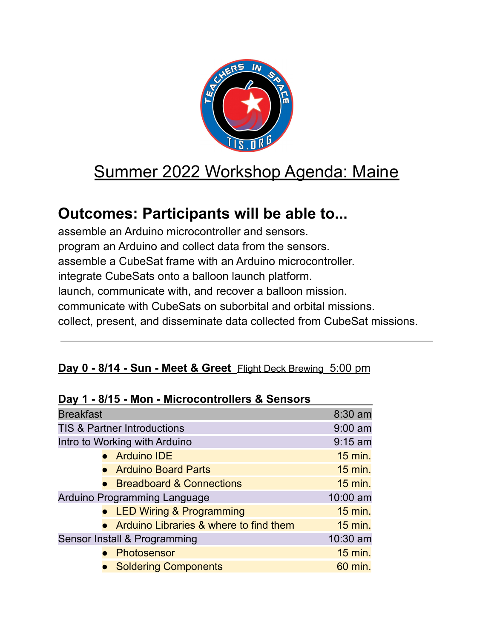

# Summer 2022 Workshop Agenda: Maine

# **Outcomes: Participants will be able to...**

assemble an Arduino microcontroller and sensors. program an Arduino and collect data from the sensors. assemble a CubeSat frame with an Arduino microcontroller. integrate CubeSats onto a balloon launch platform. launch, communicate with, and recover a balloon mission. communicate with CubeSats on suborbital and orbital missions. collect, present, and disseminate data collected from CubeSat missions.

### **Day 0 - 8/14 - Sun - Meet & Greet** Flight Deck Brewing 5:00 pm

| Day 1 - 0/15 - MOIT - MICROCOTILIOIIEIS & SEIISOIS |                                          |                |
|----------------------------------------------------|------------------------------------------|----------------|
| <b>Breakfast</b>                                   |                                          | 8:30 am        |
| <b>TIS &amp; Partner Introductions</b>             |                                          | $9:00$ am      |
| Intro to Working with Arduino                      |                                          | $9:15$ am      |
|                                                    | • Arduino IDE                            | 15 min.        |
|                                                    | • Arduino Board Parts                    | 15 min.        |
|                                                    | • Breadboard & Connections               | $15$ min.      |
| Arduino Programming Language                       |                                          | 10:00 am       |
|                                                    | • LED Wiring & Programming               | <b>15 min.</b> |
|                                                    | • Arduino Libraries & where to find them | $15$ min.      |
| Sensor Install & Programming                       |                                          | 10:30 am       |
|                                                    | Photosensor                              | 15 min.        |
|                                                    | <b>Soldering Components</b>              | 60 min.        |
|                                                    |                                          |                |

#### **Day 1 - 8/15 - Mon - Microcontrollers & Sensors**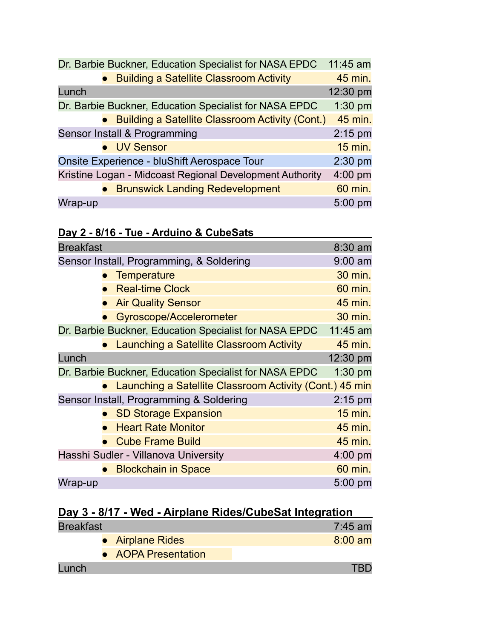|         | Dr. Barbie Buckner, Education Specialist for NASA EPDC   | 11:45 am       |
|---------|----------------------------------------------------------|----------------|
|         | <b>Building a Satellite Classroom Activity</b>           | 45 min.        |
| Lunch   |                                                          | 12:30 pm       |
|         | Dr. Barbie Buckner, Education Specialist for NASA EPDC   | $1:30$ pm      |
|         | • Building a Satellite Classroom Activity (Cont.)        | 45 min.        |
|         | Sensor Install & Programming                             | $2:15$ pm      |
|         | • UV Sensor                                              | <b>15 min.</b> |
|         | Onsite Experience - bluShift Aerospace Tour              | $2:30$ pm      |
|         | Kristine Logan - Midcoast Regional Development Authority | $4:00$ pm      |
|         | • Brunswick Landing Redevelopment                        | 60 min.        |
| Wrap-up |                                                          | $5:00$ pm      |

|--|

| <b>Breakfast</b>                                       |                                                           | 8:30 am   |
|--------------------------------------------------------|-----------------------------------------------------------|-----------|
| Sensor Install, Programming, & Soldering               |                                                           | $9:00$ am |
|                                                        | <b>Temperature</b>                                        | 30 min.   |
|                                                        | <b>Real-time Clock</b>                                    | 60 min.   |
|                                                        | <b>Air Quality Sensor</b>                                 | 45 min.   |
|                                                        | Gyroscope/Accelerometer                                   | 30 min.   |
| Dr. Barbie Buckner, Education Specialist for NASA EPDC |                                                           | 11:45 am  |
|                                                        | <b>Launching a Satellite Classroom Activity</b>           | 45 min.   |
| Lunch                                                  |                                                           | 12:30 pm  |
| Dr. Barbie Buckner, Education Specialist for NASA EPDC |                                                           | $1:30$ pm |
|                                                        | • Launching a Satellite Classroom Activity (Cont.) 45 min |           |
| Sensor Install, Programming & Soldering                |                                                           | $2:15$ pm |
|                                                        | • SD Storage Expansion                                    | 15 min.   |
|                                                        | <b>Heart Rate Monitor</b>                                 | 45 min.   |
|                                                        | <b>Cube Frame Build</b>                                   | 45 min.   |
| Hasshi Sudler - Villanova University                   |                                                           | $4:00$ pm |
|                                                        | <b>Blockchain in Space</b>                                | 60 min.   |
| Wrap-up                                                |                                                           | 5:00 pm   |

| Day 3 - 8/17 - Wed - Airplane Rides/CubeSat Integration |                     |           |
|---------------------------------------------------------|---------------------|-----------|
| <b>Breakfast</b>                                        |                     | $7:45$ am |
|                                                         | • Airplane Rides    | $8:00$ am |
|                                                         | • AOPA Presentation |           |
| Lunch                                                   |                     |           |